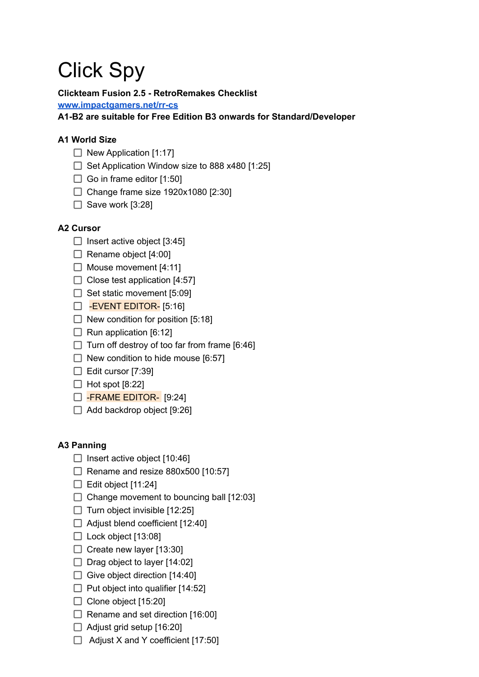# Click Spy

## **Clickteam Fusion 2.5 - RetroRemakes Checklist**

**[www.impactgamers.net/rr-cs](http://www.impactgamers.net/rr-cs)**

**A1-B2 are suitable for Free Edition B3 onwards for Standard/Developer**

# **A1 World Size**

- $\Box$  New Application [1:17]
- $\Box$  Set Application Window size to 888 x480 [1:25]
- $\Box$  Go in frame editor [1:50]
- $\Box$  Change frame size 1920x1080 [2:30]
- $\Box$  Save work [3:28]

## **A2 Cursor**

- $\Box$  Insert active object [3:45]
- $\Box$  Rename object [4:00]
- $\Box$  Mouse movement [4:11]
- $\Box$  Close test application [4:57]
- $\Box$  Set static movement [5:09]
- EVENT EDITOR- [5:16]
- $\Box$  New condition for position [5:18]
- $\Box$  Run application [6:12]
- $\Box$  Turn off destroy of too far from frame [6:46]
- $\Box$  New condition to hide mouse [6:57]
- $\Box$  Edit cursor [7:39]
- $\Box$  Hot spot [8:22]
- FRAME EDITOR- [9:24]
- $\Box$  Add backdrop object [9:26]

## **A3 Panning**

- $\Box$  Insert active object [10:46]
- $\Box$  Rename and resize 880x500 [10:57]
- $\Box$  Edit object [11:24]
- $\Box$  Change movement to bouncing ball [12:03]
- $\Box$  Turn object invisible [12:25]
- $\Box$  Adjust blend coefficient [12:40]
- $\Box$  Lock object [13:08]
- $\Box$  Create new layer [13:30]
- $\Box$  Drag object to layer [14:02]
- $\Box$  Give object direction [14:40]
- $\Box$  Put object into qualifier [14:52]
- $\Box$  Clone object [15:20]
- $\Box$  Rename and set direction [16:00]
- $\Box$  Adjust grid setup [16:20]
- $\Box$  Adjust X and Y coefficient [17:50]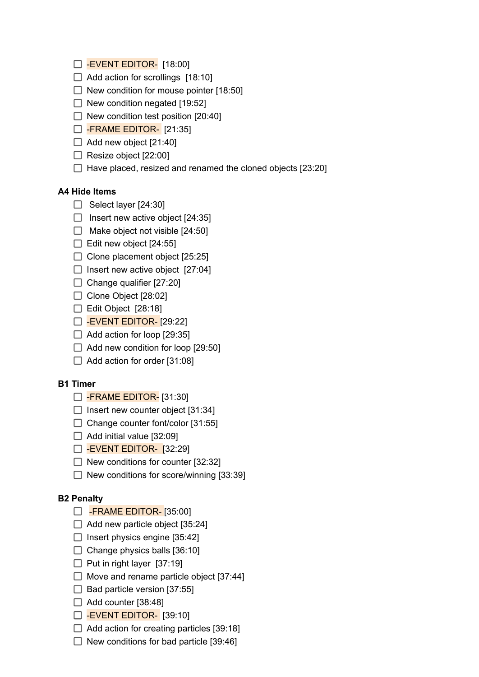- $\Box$  -EVENT EDITOR- [18:00]
- $\Box$  Add action for scrollings [18:10]
- $\Box$  New condition for mouse pointer [18:50]
- $\Box$  New condition negated [19:52]
- $\Box$  New condition test position [20:40]
- $\Box$  -FRAME EDITOR- [21:35]
- $\Box$  Add new object [21:40]
- $\Box$  Resize object [22:00]
- $\Box$  Have placed, resized and renamed the cloned objects [23:20]

#### **A4 Hide Items**

- $\Box$  Select layer [24:30]
- $\Box$  Insert new active object [24:35]
- $\Box$  Make object not visible [24:50]
- $\Box$  Edit new object [24:55]
- $\Box$  Clone placement object [25:25]
- $\Box$  Insert new active object [27:04]
- $\Box$  Change qualifier [27:20]
- Clone Object [28:02]
- $\Box$  Edit Object [28:18]
- $\Box$  -EVENT EDITOR- [29:22]
- $\Box$  Add action for loop [29:35]
- $\Box$  Add new condition for loop [29:50]
- $\Box$  Add action for order [31:08]

#### **B1 Timer**

- FRAME EDITOR- [31:30]
- $\Box$  Insert new counter object [31:34]
- $\Box$  Change counter font/color [31:55]
- $\Box$  Add initial value [32:09]
- $\Box$  -EVENT EDITOR- [32:29]
- $\Box$  New conditions for counter [32:32]
- $\Box$  New conditions for score/winning [33:39]

#### **B2 Penalty**

- $\Box$  -FRAME EDITOR- [35:00]
- $\Box$  Add new particle object [35:24]
- $\Box$  Insert physics engine [35:42]
- $\Box$  Change physics balls [36:10]
- $\Box$  Put in right layer [37:19]
- $\Box$  Move and rename particle object [37:44]
- $\Box$  Bad particle version [37:55]
- $\Box$  Add counter [38:48]
- $\Box$  -EVENT EDITOR- [39:10]
- $\Box$  Add action for creating particles [39:18]
- $\Box$  New conditions for bad particle [39:46]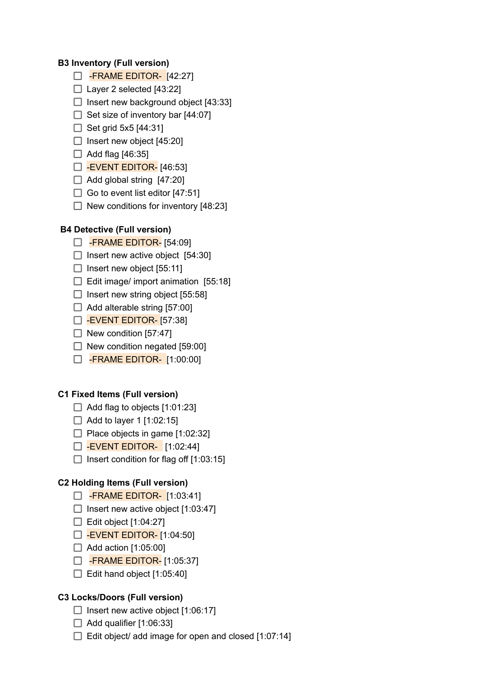#### **B3 Inventory (Full version)**

- FRAME EDITOR- [42:27]
- $\Box$  Layer 2 selected [43:22]
- $\Box$  Insert new background object [43:33]
- $\Box$  Set size of inventory bar [44:07]
- $\Box$  Set grid 5x5 [44:31]
- $\Box$  Insert new object [45:20]
- $\Box$  Add flag [46:35]
- $\Box$  -EVENT EDITOR- [46:53]
- $\Box$  Add global string [47:20]
- $\Box$  Go to event list editor [47:51]
- $\Box$  New conditions for inventory [48:23]

## **B4 Detective (Full version)**

- FRAME EDITOR- [54:09]
- $\Box$  Insert new active object [54:30]
- $\Box$  Insert new object [55:11]
- $\Box$  Edit image/ import animation [55:18]
- $\Box$  Insert new string object [55:58]
- $\Box$  Add alterable string [57:00]
- $\Box$  -EVENT EDITOR- [57:38]
- $\Box$  New condition [57:47]
- $\Box$  New condition negated [59:00]
- $\Box$  -FRAME EDITOR- [1:00:00]

#### **C1 Fixed Items (Full version)**

- $\Box$  Add flag to objects [1:01:23]
- $\Box$  Add to layer 1 [1:02:15]
- $\Box$  Place objects in game [1:02:32]
- $\Box$  -EVENT EDITOR- [1:02:44]
- $\Box$  Insert condition for flag off [1:03:15]

#### **C2 Holding Items (Full version)**

- **D** -FRAME EDITOR- [1:03:41]
- $\Box$  Insert new active object [1:03:47]
- $\Box$  Edit object [1:04:27]
- $\Box$  -EVENT EDITOR- [1:04:50]
- $\Box$  Add action [1:05:00]
- $\Box$  -FRAME EDITOR- [1:05:37]
- $\Box$  Edit hand object [1:05:40]

## **C3 Locks/Doors (Full version)**

- $\Box$  Insert new active object [1:06:17]
- $\Box$  Add qualifier [1:06:33]
- $\Box$  Edit object/ add image for open and closed [1:07:14]